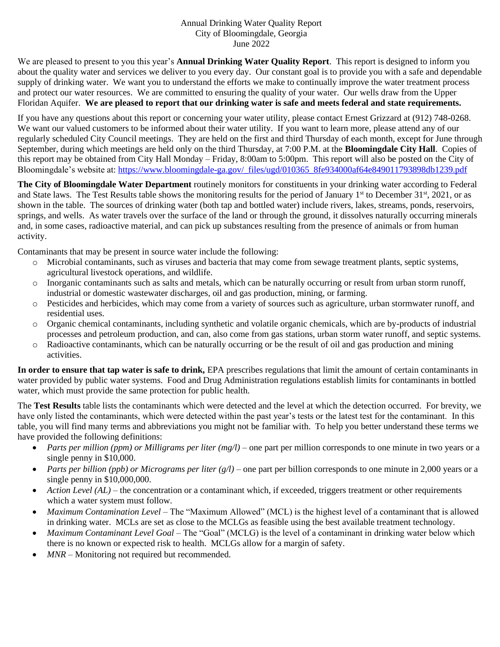## Annual Drinking Water Quality Report City of Bloomingdale, Georgia June 2022

We are pleased to present to you this year's **Annual Drinking Water Quality Report**. This report is designed to inform you about the quality water and services we deliver to you every day. Our constant goal is to provide you with a safe and dependable supply of drinking water. We want you to understand the efforts we make to continually improve the water treatment process and protect our water resources. We are committed to ensuring the quality of your water. Our wells draw from the Upper Floridan Aquifer. **We are pleased to report that our drinking water is safe and meets federal and state requirements.**

If you have any questions about this report or concerning your water utility, please contact Ernest Grizzard at (912) 748-0268. We want our valued customers to be informed about their water utility. If you want to learn more, please attend any of our regularly scheduled City Council meetings. They are held on the first and third Thursday of each month, except for June through September, during which meetings are held only on the third Thursday, at 7:00 P.M. at the **Bloomingdale City Hall**. Copies of this report may be obtained from City Hall Monday – Friday, 8:00am to 5:00pm. This report will also be posted on the City of Bloomingdale's website at: [https://www.bloomingdale-ga.gov/\\_files/ugd/010365\\_8fe934000af64e849011793898db1239.pdf](https://www.bloomingdale-ga.gov/_files/ugd/010365_8fe934000af64e849011793898db1239.pdf)

**The City of Bloomingdale Water Department** routinely monitors for constituents in your drinking water according to Federal and State laws. The Test Results table shows the monitoring results for the period of January  $1<sup>st</sup>$  to December 31 $<sup>st</sup>$ , 2021, or as</sup> shown in the table. The sources of drinking water (both tap and bottled water) include rivers, lakes, streams, ponds, reservoirs, springs, and wells. As water travels over the surface of the land or through the ground, it dissolves naturally occurring minerals and, in some cases, radioactive material, and can pick up substances resulting from the presence of animals or from human activity.

Contaminants that may be present in source water include the following:

- o Microbial contaminants, such as viruses and bacteria that may come from sewage treatment plants, septic systems, agricultural livestock operations, and wildlife.
- o Inorganic contaminants such as salts and metals, which can be naturally occurring or result from urban storm runoff, industrial or domestic wastewater discharges, oil and gas production, mining, or farming.
- o Pesticides and herbicides, which may come from a variety of sources such as agriculture, urban stormwater runoff, and residential uses.
- o Organic chemical contaminants, including synthetic and volatile organic chemicals, which are by-products of industrial processes and petroleum production, and can, also come from gas stations, urban storm water runoff, and septic systems.
- o Radioactive contaminants, which can be naturally occurring or be the result of oil and gas production and mining activities.

**In order to ensure that tap water is safe to drink,** EPA prescribes regulations that limit the amount of certain contaminants in water provided by public water systems. Food and Drug Administration regulations establish limits for contaminants in bottled water, which must provide the same protection for public health.

The **Test Results** table lists the contaminants which were detected and the level at which the detection occurred. For brevity, we have only listed the contaminants, which were detected within the past year's tests or the latest test for the contaminant. In this table, you will find many terms and abbreviations you might not be familiar with. To help you better understand these terms we have provided the following definitions:

- *Parts per million (ppm) or Milligrams per liter (mg/l)* one part per million corresponds to one minute in two years or a single penny in \$10,000.
- *Parts per billion (ppb) or Micrograms per liter (g/l)* one part per billion corresponds to one minute in 2,000 years or a single penny in \$10,000,000.
- *Action Level (AL)* the concentration or a contaminant which, if exceeded, triggers treatment or other requirements which a water system must follow.
- *Maximum Contamination Level* The "Maximum Allowed" (MCL) is the highest level of a contaminant that is allowed in drinking water. MCLs are set as close to the MCLGs as feasible using the best available treatment technology.
- *Maximum Contaminant Level Goal* The "Goal" (MCLG) is the level of a contaminant in drinking water below which there is no known or expected risk to health. MCLGs allow for a margin of safety.
- MNR Monitoring not required but recommended.